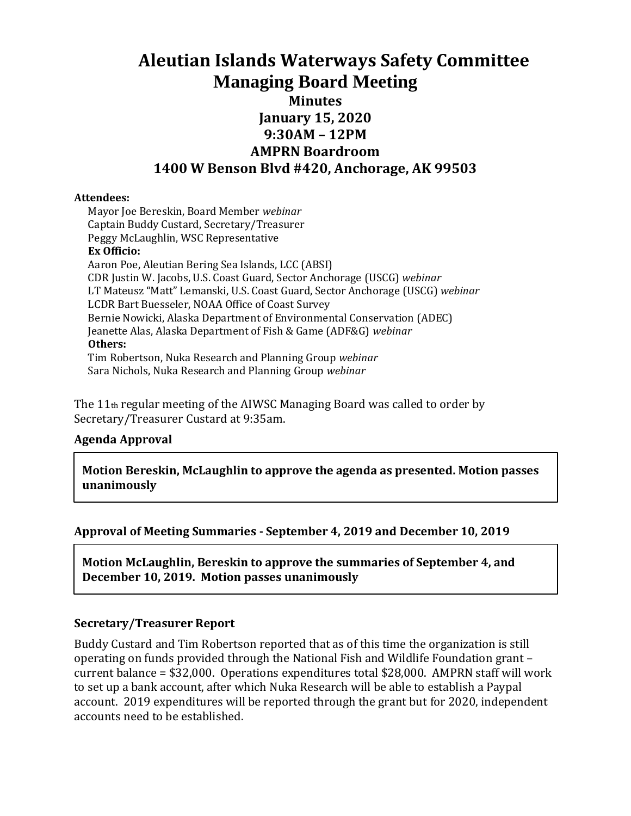# **Aleutian Islands Waterways Safety Committee Managing Board Meeting Minutes January 15, 2020 9:30AM – 12PM AMPRN Boardroom 1400 W Benson Blvd #420, Anchorage, AK 99503**

#### **Attendees:**

Mayor Joe Bereskin, Board Member *webinar* Captain Buddy Custard, Secretary/Treasurer Peggy McLaughlin, WSC Representative **Ex Officio:** Aaron Poe, Aleutian Bering Sea Islands, LCC (ABSI) CDR Justin W. Jacobs, U.S. Coast Guard, Sector Anchorage (USCG) *webinar* LT Mateusz "Matt" Lemanski, U.S. Coast Guard, Sector Anchorage (USCG) *webinar* LCDR Bart Buesseler, NOAA Office of Coast Survey Bernie Nowicki, Alaska Department of Environmental Conservation (ADEC) Jeanette Alas, Alaska Department of Fish & Game (ADF&G) *webinar* **Others:** Tim Robertson, Nuka Research and Planning Group *webinar* Sara Nichols, Nuka Research and Planning Group *webinar*

The 11<sup>th</sup> regular meeting of the AIWSC Managing Board was called to order by Secretary/Treasurer Custard at 9:35am.

#### **Agenda Approval**

**Motion Bereskin, McLaughlin to approve the agenda as presented. Motion passes unanimously**

#### **Approval of Meeting Summaries - September 4, 2019 and December 10, 2019**

**Motion McLaughlin, Bereskin to approve the summaries of September 4, and December 10, 2019. Motion passes unanimously**

#### **Secretary/Treasurer Report**

Buddy Custard and Tim Robertson reported that as of this time the organization is still operating on funds provided through the National Fish and Wildlife Foundation grant – current balance = \$32,000. Operations expenditures total \$28,000. AMPRN staff will work to set up a bank account, after which Nuka Research will be able to establish a Paypal account. 2019 expenditures will be reported through the grant but for 2020, independent accounts need to be established.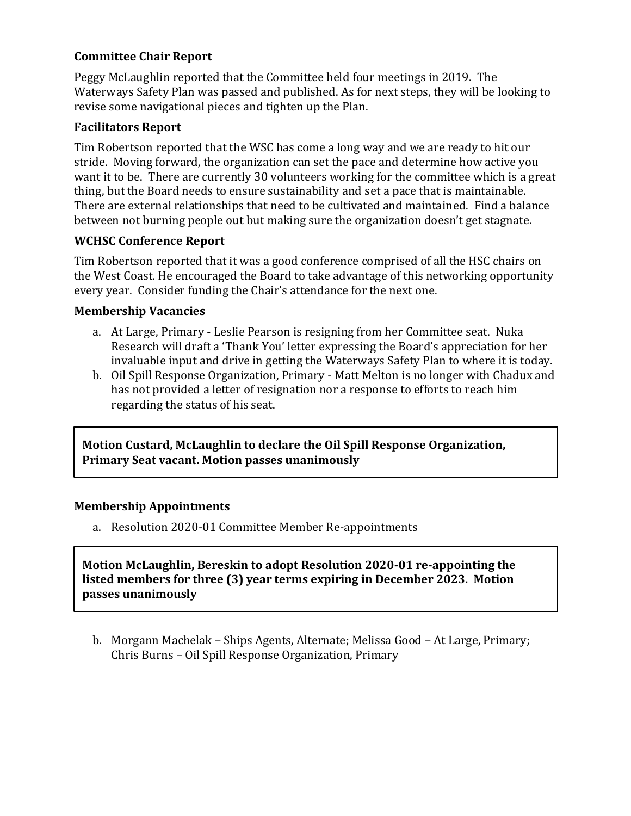### **Committee Chair Report**

Peggy McLaughlin reported that the Committee held four meetings in 2019. The Waterways Safety Plan was passed and published. As for next steps, they will be looking to revise some navigational pieces and tighten up the Plan.

#### **Facilitators Report**

Tim Robertson reported that the WSC has come a long way and we are ready to hit our stride. Moving forward, the organization can set the pace and determine how active you want it to be. There are currently 30 volunteers working for the committee which is a great thing, but the Board needs to ensure sustainability and set a pace that is maintainable. There are external relationships that need to be cultivated and maintained. Find a balance between not burning people out but making sure the organization doesn't get stagnate.

#### **WCHSC Conference Report**

Tim Robertson reported that it was a good conference comprised of all the HSC chairs on the West Coast. He encouraged the Board to take advantage of this networking opportunity every year. Consider funding the Chair's attendance for the next one.

#### **Membership Vacancies**

- a. At Large, Primary Leslie Pearson is resigning from her Committee seat. Nuka Research will draft a 'Thank You' letter expressing the Board's appreciation for her invaluable input and drive in getting the Waterways Safety Plan to where it is today.
- b. Oil Spill Response Organization, Primary Matt Melton is no longer with Chadux and has not provided a letter of resignation nor a response to efforts to reach him regarding the status of his seat.

**Motion Custard, McLaughlin to declare the Oil Spill Response Organization, Primary Seat vacant. Motion passes unanimously**

#### **Membership Appointments**

a. Resolution 2020-01 Committee Member Re-appointments

**Motion McLaughlin, Bereskin to adopt Resolution 2020-01 re-appointing the listed members for three (3) year terms expiring in December 2023. Motion passes unanimously**

b. Morgann Machelak – Ships Agents, Alternate; Melissa Good – At Large, Primary; Chris Burns – Oil Spill Response Organization, Primary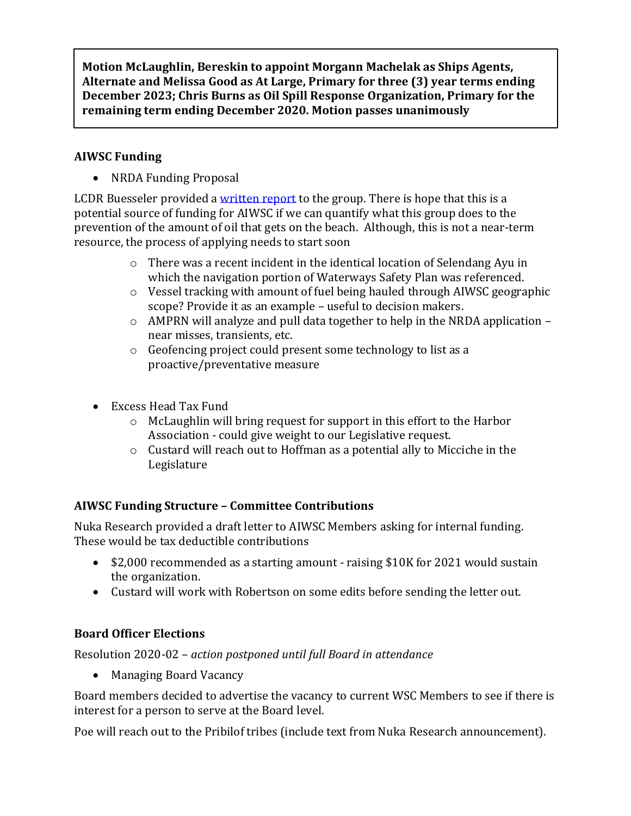**Motion McLaughlin, Bereskin to appoint Morgann Machelak as Ships Agents, Alternate and Melissa Good as At Large, Primary for three (3) year terms ending December 2023; Chris Burns as Oil Spill Response Organization, Primary for the remaining term ending December 2020. Motion passes unanimously**

## **AIWSC Funding**

• NRDA Funding Proposal

LCDR Buesseler provided [a written report](https://www.dropbox.com/work/NUKA%20PROJECTS/National%20Fish%20and%20Wildlife%20Foundation%20(NFWF)/Aleutians%20Waterway%20Safety%20Committee/Managing%20Board%20Record/2020%20Record/January%2015%20Meeting/Meeting%20Materials?preview=191209+NRDA+Funding+Report.pdf) to the group. There is hope that this is a potential source of funding for AIWSC if we can quantify what this group does to the prevention of the amount of oil that gets on the beach. Although, this is not a near-term resource, the process of applying needs to start soon

- $\circ$  There was a recent incident in the identical location of Selendang Ayu in which the navigation portion of Waterways Safety Plan was referenced.
- o Vessel tracking with amount of fuel being hauled through AIWSC geographic scope? Provide it as an example – useful to decision makers.
- $\circ$  AMPRN will analyze and pull data together to help in the NRDA application near misses, transients, etc.
- o Geofencing project could present some technology to list as a proactive/preventative measure
- Excess Head Tax Fund
	- o McLaughlin will bring request for support in this effort to the Harbor Association - could give weight to our Legislative request.
	- o Custard will reach out to Hoffman as a potential ally to Micciche in the Legislature

## **AIWSC Funding Structure – Committee Contributions**

Nuka Research provided a draft letter to AIWSC Members asking for internal funding. These would be tax deductible contributions

- \$2,000 recommended as a starting amount raising \$10K for 2021 would sustain the organization.
- Custard will work with Robertson on some edits before sending the letter out.

## **Board Officer Elections**

Resolution 2020-02 – *action postponed until full Board in attendance*

• Managing Board Vacancy

Board members decided to advertise the vacancy to current WSC Members to see if there is interest for a person to serve at the Board level.

Poe will reach out to the Pribilof tribes (include text from Nuka Research announcement).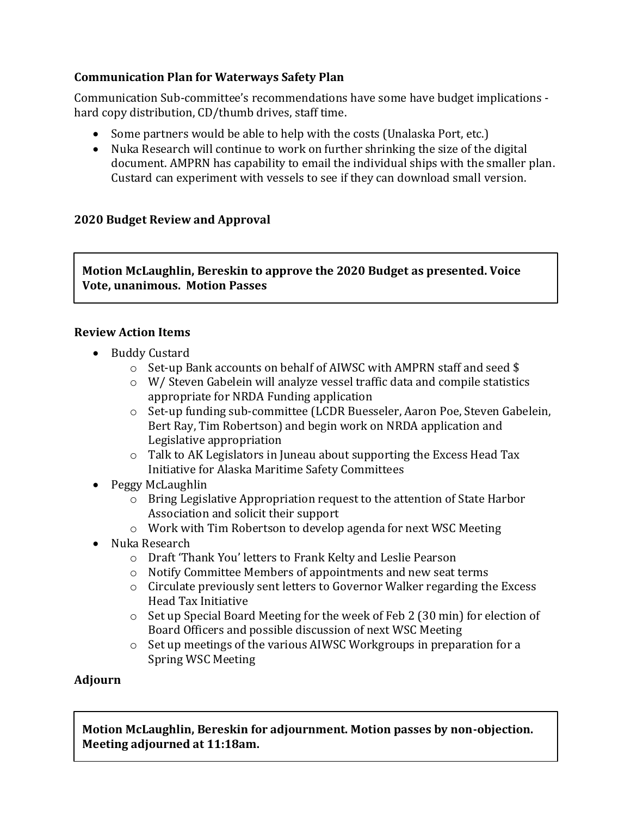### **Communication Plan for Waterways Safety Plan**

Communication Sub-committee's recommendations have some have budget implications hard copy distribution, CD/thumb drives, staff time.

- Some partners would be able to help with the costs (Unalaska Port, etc.)
- Nuka Research will continue to work on further shrinking the size of the digital document. AMPRN has capability to email the individual ships with the smaller plan. Custard can experiment with vessels to see if they can download small version.

## **2020 Budget Review and Approval**

**Motion McLaughlin, Bereskin to approve the 2020 Budget as presented. Voice Vote, unanimous. Motion Passes**

### **Review Action Items**

- Buddy Custard
	- o Set-up Bank accounts on behalf of AIWSC with AMPRN staff and seed \$
	- o W/ Steven Gabelein will analyze vessel traffic data and compile statistics appropriate for NRDA Funding application
	- o Set-up funding sub-committee (LCDR Buesseler, Aaron Poe, Steven Gabelein, Bert Ray, Tim Robertson) and begin work on NRDA application and Legislative appropriation
	- $\circ$  Talk to AK Legislators in Juneau about supporting the Excess Head Tax Initiative for Alaska Maritime Safety Committees
- Peggy McLaughlin
	- $\circ$  Bring Legislative Appropriation request to the attention of State Harbor Association and solicit their support
	- o Work with Tim Robertson to develop agenda for next WSC Meeting
- Nuka Research
	- o Draft 'Thank You' letters to Frank Kelty and Leslie Pearson
	- o Notify Committee Members of appointments and new seat terms
	- o Circulate previously sent letters to Governor Walker regarding the Excess Head Tax Initiative
	- $\circ$  Set up Special Board Meeting for the week of Feb 2 (30 min) for election of Board Officers and possible discussion of next WSC Meeting
	- o Set up meetings of the various AIWSC Workgroups in preparation for a Spring WSC Meeting

### **Adjourn**

**Motion McLaughlin, Bereskin for adjournment. Motion passes by non-objection. Meeting adjourned at 11:18am.**